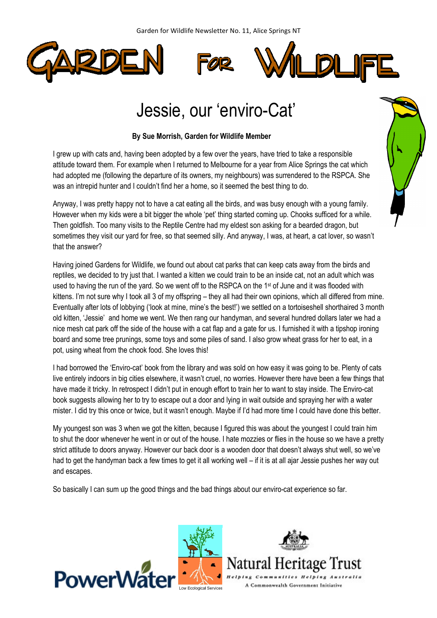





## Jessie, our 'enviro-Cat'

## By Sue Morrish, Garden for Wildlife Member

I grew up with cats and, having been adopted by a few over the years, have tried to take a responsible attitude toward them. For example when I returned to Melbourne for a year from Alice Springs the cat which had adopted me (following the departure of its owners, my neighbours) was surrendered to the RSPCA. She was an intrepid hunter and I couldn't find her a home, so it seemed the best thing to do.

Anyway, I was pretty happy not to have a cat eating all the birds, and was busy enough with a young family. However when my kids were a bit bigger the whole 'pet' thing started coming up. Chooks sufficed for a while. Then goldfish. Too many visits to the Reptile Centre had my eldest son asking for a bearded dragon, but sometimes they visit our yard for free, so that seemed silly. And anyway, I was, at heart, a cat lover, so wasn't that the answer?

Having joined Gardens for Wildlife, we found out about cat parks that can keep cats away from the birds and reptiles, we decided to try just that. I wanted a kitten we could train to be an inside cat, not an adult which was used to having the run of the yard. So we went off to the RSPCA on the 1<sup>st</sup> of June and it was flooded with kittens. I'm not sure why I took all 3 of my offspring – they all had their own opinions, which all differed from mine. Eventually after lots of lobbying ('look at mine, mine's the best!') we settled on a tortoiseshell shorthaired 3 month old kitten, 'Jessie' and home we went. We then rang our handyman, and several hundred dollars later we had a nice mesh cat park off the side of the house with a cat flap and a gate for us. I furnished it with a tipshop ironing board and some tree prunings, some toys and some piles of sand. I also grow wheat grass for her to eat, in a pot, using wheat from the chook food. She loves this!

I had borrowed the 'Enviro-cat' book from the library and was sold on how easy it was going to be. Plenty of cats live entirely indoors in big cities elsewhere, it wasn't cruel, no worries. However there have been a few things that have made it tricky. In retrospect I didn't put in enough effort to train her to want to stay inside. The Enviro-cat book suggests allowing her to try to escape out a door and lying in wait outside and spraying her with a water mister. I did try this once or twice, but it wasn't enough. Maybe if I'd had more time I could have done this better.

My youngest son was 3 when we got the kitten, because I figured this was about the youngest I could train him to shut the door whenever he went in or out of the house. I hate mozzies or flies in the house so we have a pretty strict attitude to doors anyway. However our back door is a wooden door that doesn't always shut well, so we've had to get the handyman back a few times to get it all working well – if it is at all ajar Jessie pushes her way out and escapes.

So basically I can sum up the good things and the bad things about our enviro-cat experience so far.







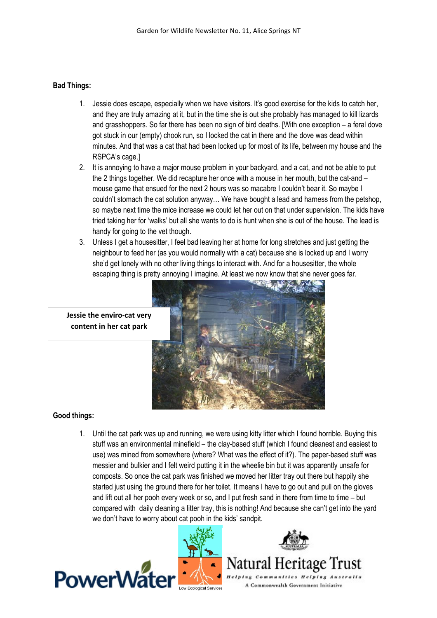## Bad Things:

- 1. Jessie does escape, especially when we have visitors. It's good exercise for the kids to catch her, and they are truly amazing at it, but in the time she is out she probably has managed to kill lizards and grasshoppers. So far there has been no sign of bird deaths. [With one exception – a feral dove got stuck in our (empty) chook run, so I locked the cat in there and the dove was dead within minutes. And that was a cat that had been locked up for most of its life, between my house and the RSPCA's cage.]
- 2. It is annoying to have a major mouse problem in your backyard, and a cat, and not be able to put the 2 things together. We did recapture her once with a mouse in her mouth, but the cat-and – mouse game that ensued for the next 2 hours was so macabre I couldn't bear it. So maybe I couldn't stomach the cat solution anyway… We have bought a lead and harness from the petshop, so maybe next time the mice increase we could let her out on that under supervision. The kids have tried taking her for 'walks' but all she wants to do is hunt when she is out of the house. The lead is handy for going to the vet though.
- 3. Unless I get a housesitter, I feel bad leaving her at home for long stretches and just getting the neighbour to feed her (as you would normally with a cat) because she is locked up and I worry she'd get lonely with no other living things to interact with. And for a housesitter, the whole escaping thing is pretty annoying I imagine. At least we now know that she never goes far.

Jessie the enviro-cat very content in her cat park



## Good things:

1. Until the cat park was up and running, we were using kitty litter which I found horrible. Buying this stuff was an environmental minefield – the clay-based stuff (which I found cleanest and easiest to use) was mined from somewhere (where? What was the effect of it?). The paper-based stuff was messier and bulkier and I felt weird putting it in the wheelie bin but it was apparently unsafe for composts. So once the cat park was finished we moved her litter tray out there but happily she started just using the ground there for her toilet. It means I have to go out and pull on the gloves and lift out all her pooh every week or so, and I put fresh sand in there from time to time – but compared with daily cleaning a litter tray, this is nothing! And because she can't get into the yard we don't have to worry about cat pooh in the kids' sandpit.